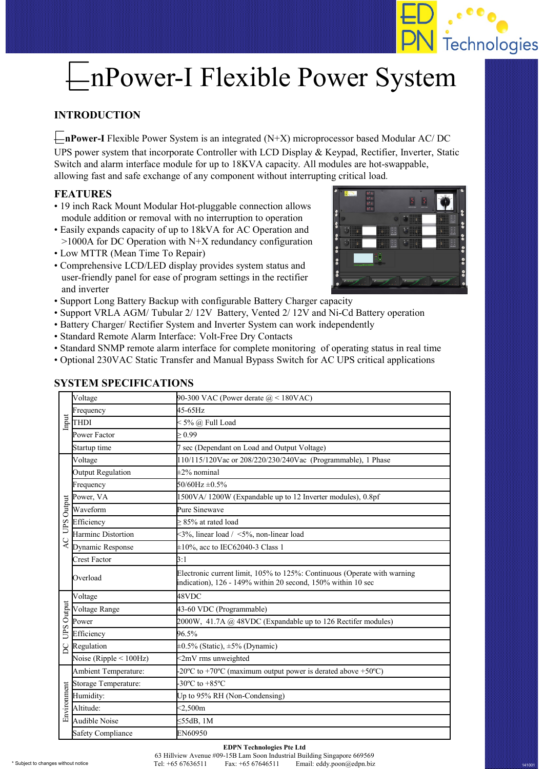

# EnPower-I Flexible Power System

### **INTRODUCTION**

E**nPower-I** Flexible Power System is an integrated (N+X) microprocessor based Modular AC/ DC UPS power system that incorporate Controller with LCD Display & Keypad, Rectifier, Inverter, Static Switch and alarm interface module for up to 18KVA capacity. All modules are hot-swappable, allowing fast and safe exchange of any component without interrupting critical load.

#### **FEATURES**

- 19 inch Rack Mount Modular Hot-pluggable connection allows module addition or removal with no interruption to operation
- Easily expands capacity of up to 18kVA for AC Operation and  $>1000A$  for DC Operation with N+X redundancy configuration
- Low MTTR (Mean Time To Repair)
- Comprehensive LCD/LED display provides system status and user-friendly panel for ease of program settings in the rectifier and inverter
- Support Long Battery Backup with configurable Battery Charger capacity
- Support VRLA AGM/ Tubular 2/ 12V Battery, Vented 2/ 12V and Ni-Cd Battery operation
- Battery Charger/ Rectifier System and Inverter System can work independently
- Standard Remote Alarm Interface: Volt-Free Dry Contacts
- Standard SNMP remote alarm interface for complete monitoring of operating status in real time
- Optional 230VAC Static Transfer and Manual Bypass Switch for AC UPS critical applications

| Input                        | Voltage                      | 90-300 VAC (Power derate $\textcircled{a}$ < 180VAC)                                                                                     |
|------------------------------|------------------------------|------------------------------------------------------------------------------------------------------------------------------------------|
|                              | Frequency                    | 45-65Hz                                                                                                                                  |
|                              | <b>THDI</b>                  | < 5% @ Full Load                                                                                                                         |
|                              | Power Factor                 | > 0.99                                                                                                                                   |
|                              | Startup time                 | 7 sec (Dependant on Load and Output Voltage)                                                                                             |
| AC UPS Output                | Voltage                      | 110/115/120Vac or 208/220/230/240Vac (Programmable), 1 Phase                                                                             |
|                              | Output Regulation            | $\pm 2\%$ nominal                                                                                                                        |
|                              | Frequency                    | $50/60$ Hz $\pm 0.5\%$                                                                                                                   |
|                              | Power, VA                    | 1500VA/1200W (Expandable up to 12 Inverter modules), 0.8pf                                                                               |
|                              | Waveform                     | Pure Sinewave                                                                                                                            |
|                              | Efficiency                   | > 85% at rated load                                                                                                                      |
|                              | Harminc Distortion           | <3%, linear load / <5%, non-linear load                                                                                                  |
|                              | Dynamic Response             | $\pm 10\%$ , acc to IEC62040-3 Class 1                                                                                                   |
|                              | <b>Crest Factor</b>          | 3:1                                                                                                                                      |
|                              | Overload                     | Electronic current limit, 105% to 125%: Continuous (Operate with warning<br>indication), 126 - 149% within 20 second, 150% within 10 sec |
| UPS Output<br>$\overline{S}$ | Voltage                      | 48VDC                                                                                                                                    |
|                              | Voltage Range                | 43-60 VDC (Programmable)                                                                                                                 |
|                              | Power                        | $2000W$ , 41.7A @ 48VDC (Expandable up to 126 Rectifer modules)                                                                          |
|                              | Efficiency                   | 96.5%                                                                                                                                    |
|                              | Regulation                   | $\pm 0.5\%$ (Static), $\pm 5\%$ (Dynamic)                                                                                                |
|                              | Noise (Ripple $\leq 100$ Hz) | <2mV rms unweighted                                                                                                                      |
| Environment                  | Ambient Temperature:         | -20 $^{\circ}$ C to +70 $^{\circ}$ C (maximum output power is derated above +50 $^{\circ}$ C)                                            |
|                              | Storage Temperature:         | $-30^{\circ}$ C to $+85^{\circ}$ C                                                                                                       |
|                              | Humidity:                    | Up to 95% RH (Non-Condensing)                                                                                                            |
|                              | Altitude:                    | < 2,500m                                                                                                                                 |
|                              | Audible Noise                | $\leq$ 55dB, 1M                                                                                                                          |
|                              | <b>Safety Compliance</b>     | EN60950                                                                                                                                  |

#### **SYSTEM SPECIFICATIONS**

#### **EDPN Technologies Pte Ltd** 63 Hillview Avenue #09-15B Lam Soon Industrial Building Singapore 669569